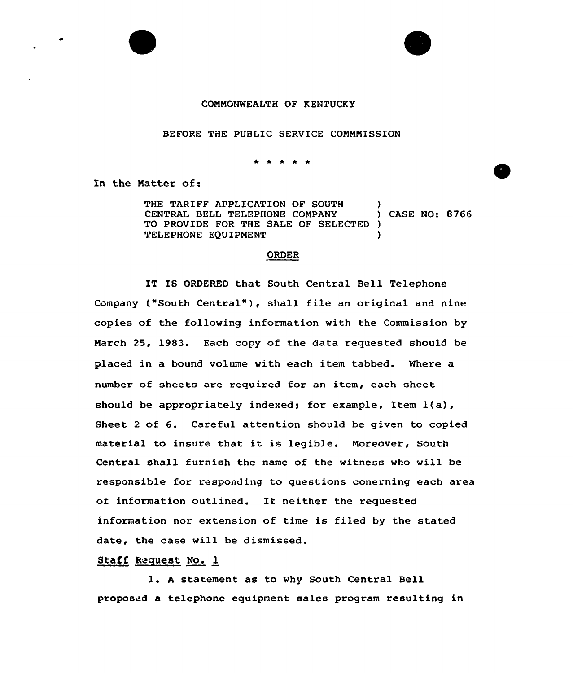## CONNONWEALTH OF KENTUCKY

## BEFORE THE PUBLIC SERVICE CONNNISSION

In the Natter of:

THE TARIFF APPLICATION OF SOUTH )<br>
CENTRAL BELL TELEPHONE COMPANY ) CASE NO: 8766 CENTRAL BELL TELEPHONE COMPANY TO PROVIDE FOR THE SALE OF SELECTED TELEPHONE EQUIPMENT )

## ORDER

IT IS ORDERED that South Central Bell Telephone Company ("South Central"), shall file an original and nine copies of the following information with the Commission by Narch 25, 1983. Each copy of the data requested should be placed in a bound volume vith each item tabbed. Where a number of sheets are required for an item, each sheet should be appropriately indexed; for example, Item l(a), Sheet <sup>2</sup> of 6. Careful attention should be given to copied material to insure that it is legible. Noreover, South Central shall furnish the name of the witness who vill be responsible for responding to questions conerning each area of information outlined. If neither the requested information nor extension of time is filed by the stated date, the case will be dismissed.

Staff Request No. 1

l. <sup>A</sup> statement as to vhy South Central Bell proposed a telephone equipment sales program resulting in